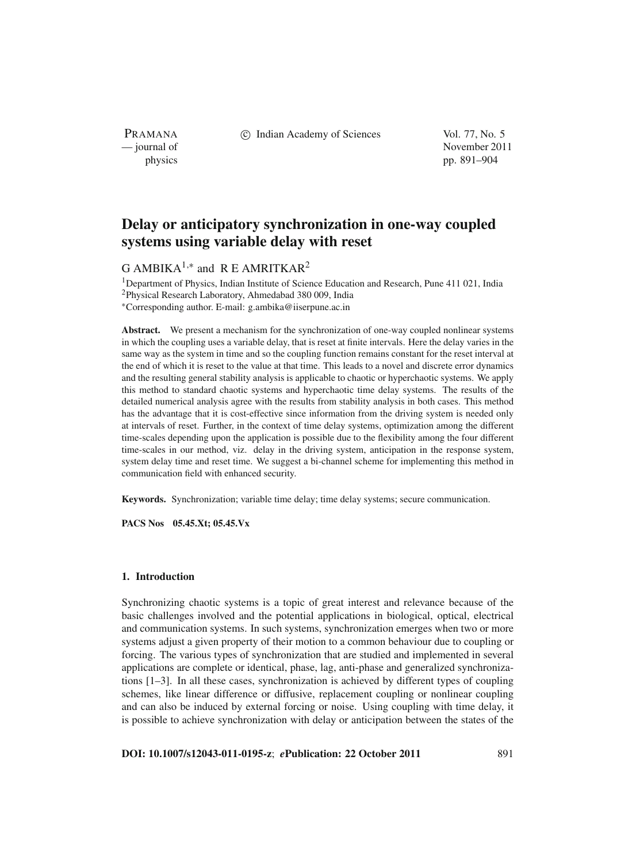PRAMANA

c Indian Academy of Sciences Vol. 77, No. 5

— journal of November 2011 physics pp. 891–904

# **Delay or anticipatory synchronization in one-way coupled systems using variable delay with reset**

## G AMBIKA<sup>1,\*</sup> and R E AMRITKAR<sup>2</sup>

<sup>1</sup>Department of Physics, Indian Institute of Science Education and Research, Pune 411 021, India 2Physical Research Laboratory, Ahmedabad 380 009, India <sup>∗</sup>Corresponding author. E-mail: g.ambika@iiserpune.ac.in

**Abstract.** We present a mechanism for the synchronization of one-way coupled nonlinear systems in which the coupling uses a variable delay, that is reset at finite intervals. Here the delay varies in the same way as the system in time and so the coupling function remains constant for the reset interval at the end of which it is reset to the value at that time. This leads to a novel and discrete error dynamics and the resulting general stability analysis is applicable to chaotic or hyperchaotic systems. We apply this method to standard chaotic systems and hyperchaotic time delay systems. The results of the detailed numerical analysis agree with the results from stability analysis in both cases. This method has the advantage that it is cost-effective since information from the driving system is needed only at intervals of reset. Further, in the context of time delay systems, optimization among the different time-scales depending upon the application is possible due to the flexibility among the four different time-scales in our method, viz. delay in the driving system, anticipation in the response system, system delay time and reset time. We suggest a bi-channel scheme for implementing this method in communication field with enhanced security.

**Keywords.** Synchronization; variable time delay; time delay systems; secure communication.

**PACS Nos 05.45.Xt; 05.45.Vx**

## **1. Introduction**

Synchronizing chaotic systems is a topic of great interest and relevance because of the basic challenges involved and the potential applications in biological, optical, electrical and communication systems. In such systems, synchronization emerges when two or more systems adjust a given property of their motion to a common behaviour due to coupling or forcing. The various types of synchronization that are studied and implemented in several applications are complete or identical, phase, lag, anti-phase and generalized synchronizations [1–3]. In all these cases, synchronization is achieved by different types of coupling schemes, like linear difference or diffusive, replacement coupling or nonlinear coupling and can also be induced by external forcing or noise. Using coupling with time delay, it is possible to achieve synchronization with delay or anticipation between the states of the

**DOI: 10.1007/s12043-011-0195-z**; *e***Publication: 22 October 2011** 891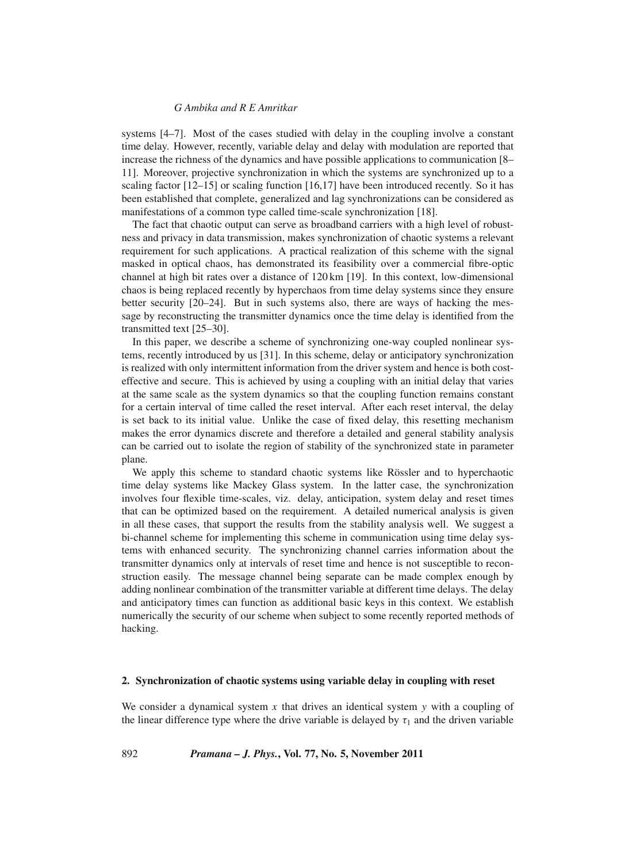systems [4–7]. Most of the cases studied with delay in the coupling involve a constant time delay. However, recently, variable delay and delay with modulation are reported that increase the richness of the dynamics and have possible applications to communication [8– 11]. Moreover, projective synchronization in which the systems are synchronized up to a scaling factor [12–15] or scaling function [16,17] have been introduced recently. So it has been established that complete, generalized and lag synchronizations can be considered as manifestations of a common type called time-scale synchronization [18].

The fact that chaotic output can serve as broadband carriers with a high level of robustness and privacy in data transmission, makes synchronization of chaotic systems a relevant requirement for such applications. A practical realization of this scheme with the signal masked in optical chaos, has demonstrated its feasibility over a commercial fibre-optic channel at high bit rates over a distance of 120 km [19]. In this context, low-dimensional chaos is being replaced recently by hyperchaos from time delay systems since they ensure better security [20–24]. But in such systems also, there are ways of hacking the message by reconstructing the transmitter dynamics once the time delay is identified from the transmitted text [25–30].

In this paper, we describe a scheme of synchronizing one-way coupled nonlinear systems, recently introduced by us [31]. In this scheme, delay or anticipatory synchronization is realized with only intermittent information from the driver system and hence is both costeffective and secure. This is achieved by using a coupling with an initial delay that varies at the same scale as the system dynamics so that the coupling function remains constant for a certain interval of time called the reset interval. After each reset interval, the delay is set back to its initial value. Unlike the case of fixed delay, this resetting mechanism makes the error dynamics discrete and therefore a detailed and general stability analysis can be carried out to isolate the region of stability of the synchronized state in parameter plane.

We apply this scheme to standard chaotic systems like Rössler and to hyperchaotic time delay systems like Mackey Glass system. In the latter case, the synchronization involves four flexible time-scales, viz. delay, anticipation, system delay and reset times that can be optimized based on the requirement. A detailed numerical analysis is given in all these cases, that support the results from the stability analysis well. We suggest a bi-channel scheme for implementing this scheme in communication using time delay systems with enhanced security. The synchronizing channel carries information about the transmitter dynamics only at intervals of reset time and hence is not susceptible to reconstruction easily. The message channel being separate can be made complex enough by adding nonlinear combination of the transmitter variable at different time delays. The delay and anticipatory times can function as additional basic keys in this context. We establish numerically the security of our scheme when subject to some recently reported methods of hacking.

#### **2. Synchronization of chaotic systems using variable delay in coupling with reset**

We consider a dynamical system *x* that drives an identical system *y* with a coupling of the linear difference type where the drive variable is delayed by  $\tau_1$  and the driven variable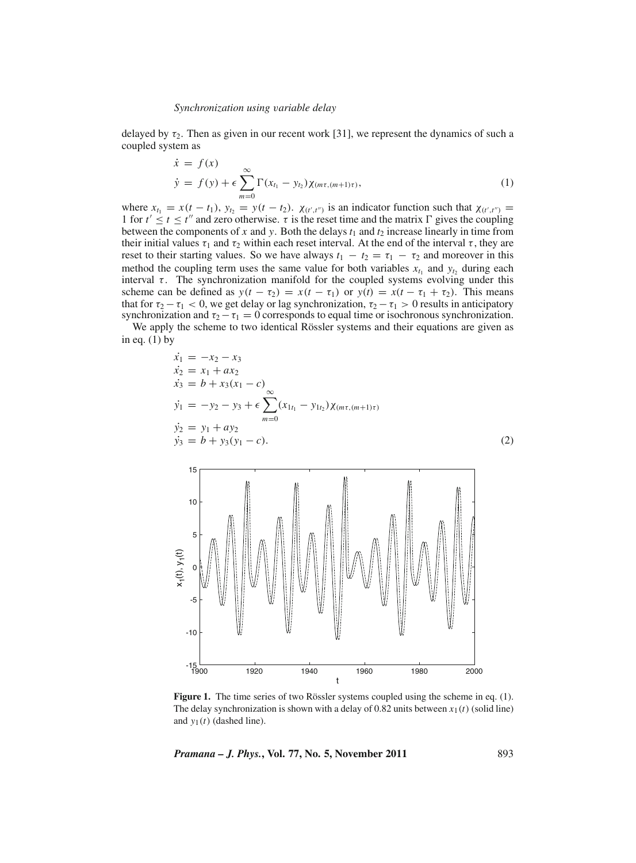delayed by  $\tau_2$ . Then as given in our recent work [31], we represent the dynamics of such a coupled system as

$$
\dot{x} = f(x)
$$
  
\n
$$
\dot{y} = f(y) + \epsilon \sum_{m=0}^{\infty} \Gamma(x_{t_1} - y_{t_2}) \chi_{(m\tau, (m+1)\tau)},
$$
\n(1)

where  $x_{t_1} = x(t - t_1)$ ,  $y_{t_2} = y(t - t_2)$ .  $\chi_{(t',t'')}$  is an indicator function such that  $\chi_{(t',t'')}$ 1 for  $t' \le t \le t''$  and zero otherwise.  $\tau$  is the reset time and the matrix  $\Gamma$  gives the coupling between the components of  $x$  and  $y$ . Both the delays  $t_1$  and  $t_2$  increase linearly in time from their initial values  $\tau_1$  and  $\tau_2$  within each reset interval. At the end of the interval  $\tau$ , they are reset to their starting values. So we have always  $t_1 - t_2 = \tau_1 - \tau_2$  and moreover in this method the coupling term uses the same value for both variables  $x_{t_1}$  and  $y_{t_2}$  during each interval  $\tau$ . The synchronization manifold for the coupled systems evolving under this scheme can be defined as  $y(t - \tau_2) = x(t - \tau_1)$  or  $y(t) = x(t - \tau_1 + \tau_2)$ . This means that for  $\tau_2 - \tau_1 < 0$ , we get delay or lag synchronization,  $\tau_2 - \tau_1 > 0$  results in anticipatory synchronization and  $\tau_2-\tau_1=0$  corresponds to equal time or isochronous synchronization.

We apply the scheme to two identical Rössler systems and their equations are given as in eq.  $(1)$  by

$$
\begin{aligned}\n\dot{x}_1 &= -x_2 - x_3 \\
\dot{x}_2 &= x_1 + ax_2 \\
\dot{x}_3 &= b + x_3(x_1 - c) \\
\dot{y}_1 &= -y_2 - y_3 + \epsilon \sum_{m=0}^{\infty} (x_{1t_1} - y_{1t_2}) \chi_{(m\tau,(m+1)\tau)} \\
\dot{y}_2 &= y_1 + ay_2 \\
\dot{y}_3 &= b + y_3(y_1 - c).\n\end{aligned} \tag{2}
$$



**Figure 1.** The time series of two Rössler systems coupled using the scheme in eq. (1). The delay synchronization is shown with a delay of 0.82 units between  $x_1(t)$  (solid line) and  $y_1(t)$  (dashed line).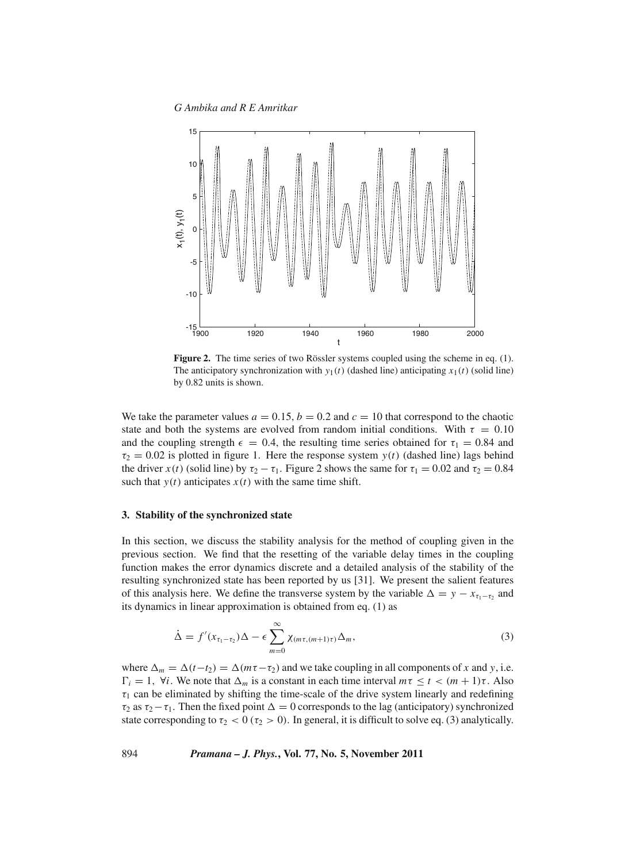*G Ambika and R E Amritkar*



**Figure 2.** The time series of two Rössler systems coupled using the scheme in eq. (1). The anticipatory synchronization with  $y_1(t)$  (dashed line) anticipating  $x_1(t)$  (solid line) by 0.82 units is shown.

We take the parameter values  $a = 0.15$ ,  $b = 0.2$  and  $c = 10$  that correspond to the chaotic state and both the systems are evolved from random initial conditions. With  $\tau = 0.10$ and the coupling strength  $\epsilon = 0.4$ , the resulting time series obtained for  $\tau_1 = 0.84$  and  $\tau_2 = 0.02$  is plotted in figure 1. Here the response system  $y(t)$  (dashed line) lags behind the driver  $x(t)$  (solid line) by  $\tau_2 - \tau_1$ . Figure 2 shows the same for  $\tau_1 = 0.02$  and  $\tau_2 = 0.84$ such that  $y(t)$  anticipates  $x(t)$  with the same time shift.

## **3. Stability of the synchronized state**

In this section, we discuss the stability analysis for the method of coupling given in the previous section. We find that the resetting of the variable delay times in the coupling function makes the error dynamics discrete and a detailed analysis of the stability of the resulting synchronized state has been reported by us [31]. We present the salient features of this analysis here. We define the transverse system by the variable  $\Delta = y - x_{\tau_1 - \tau_2}$  and its dynamics in linear approximation is obtained from eq. (1) as

$$
\dot{\Delta} = f'(x_{\tau_1 - \tau_2})\Delta - \epsilon \sum_{m=0}^{\infty} \chi_{(m\tau, (m+1)\tau)}\Delta_m,
$$
\n(3)

where  $\Delta_m = \Delta(t-t_2) = \Delta(m\tau-\tau_2)$  and we take coupling in all components of *x* and *y*, i.e.  $\Gamma_i = 1$ ,  $\forall i$ . We note that  $\Delta_m$  is a constant in each time interval  $m\tau \le t < (m+1)\tau$ . Also  $\tau_1$  can be eliminated by shifting the time-scale of the drive system linearly and redefining  $\tau_2$  as  $\tau_2-\tau_1$ . Then the fixed point  $\Delta=0$  corresponds to the lag (anticipatory) synchronized state corresponding to  $\tau_2$  < 0 ( $\tau_2$  > 0). In general, it is difficult to solve eq. (3) analytically.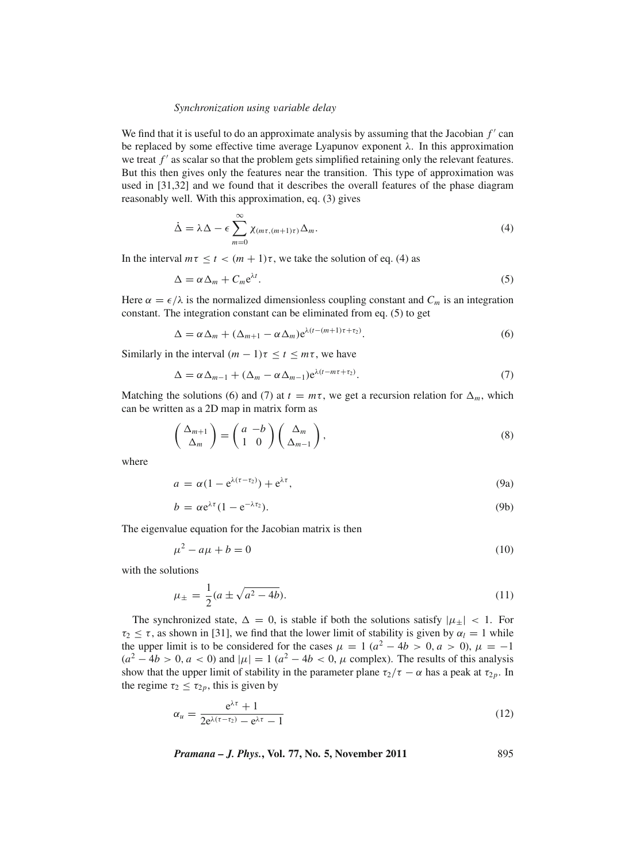We find that it is useful to do an approximate analysis by assuming that the Jacobian  $f'$  can be replaced by some effective time average Lyapunov exponent  $\lambda$ . In this approximation we treat *f'* as scalar so that the problem gets simplified retaining only the relevant features. But this then gives only the features near the transition. This type of approximation was used in [31,32] and we found that it describes the overall features of the phase diagram reasonably well. With this approximation, eq. (3) gives

$$
\dot{\Delta} = \lambda \Delta - \epsilon \sum_{m=0}^{\infty} \chi_{(m\tau, (m+1)\tau)} \Delta_m.
$$
\n(4)

In the interval  $m\tau \le t < (m + 1)\tau$ , we take the solution of eq. (4) as

$$
\Delta = \alpha \Delta_m + C_m e^{\lambda t}.\tag{5}
$$

Here  $\alpha = \epsilon/\lambda$  is the normalized dimensionless coupling constant and  $C_m$  is an integration constant. The integration constant can be eliminated from eq. (5) to get

$$
\Delta = \alpha \Delta_m + (\Delta_{m+1} - \alpha \Delta_m) e^{\lambda (t - (m+1)\tau + \tau_2)}.
$$
\n(6)

Similarly in the interval  $(m - 1)\tau \le t \le m\tau$ , we have

$$
\Delta = \alpha \Delta_{m-1} + (\Delta_m - \alpha \Delta_{m-1}) e^{\lambda(t - m\tau + \tau_2)}.
$$
\n(7)

Matching the solutions (6) and (7) at  $t = m\tau$ , we get a recursion relation for  $\Delta_m$ , which can be written as a 2D map in matrix form as

$$
\begin{pmatrix} \Delta_{m+1} \\ \Delta_m \end{pmatrix} = \begin{pmatrix} a & -b \\ 1 & 0 \end{pmatrix} \begin{pmatrix} \Delta_m \\ \Delta_{m-1} \end{pmatrix},
$$
\n(8)

where

$$
a = \alpha (1 - e^{\lambda(\tau - \tau_2)}) + e^{\lambda \tau}, \tag{9a}
$$

$$
b = \alpha e^{\lambda \tau} (1 - e^{-\lambda \tau_2}). \tag{9b}
$$

The eigenvalue equation for the Jacobian matrix is then

$$
\mu^2 - a\mu + b = 0\tag{10}
$$

with the solutions

$$
\mu_{\pm} = \frac{1}{2}(a \pm \sqrt{a^2 - 4b}).\tag{11}
$$

The synchronized state,  $\Delta = 0$ , is stable if both the solutions satisfy  $|\mu_{\pm}| < 1$ . For  $\tau_2 \leq \tau$ , as shown in [31], we find that the lower limit of stability is given by  $\alpha_l = 1$  while the upper limit is to be considered for the cases  $\mu = 1$  ( $a^2 - 4b > 0$ ,  $a > 0$ ),  $\mu = -1$  $(a<sup>2</sup> - 4b > 0, a < 0)$  and  $|\mu| = 1$   $(a<sup>2</sup> - 4b < 0, \mu$  complex). The results of this analysis show that the upper limit of stability in the parameter plane  $\tau_2/\tau - \alpha$  has a peak at  $\tau_{2p}$ . In the regime  $\tau_2 \leq \tau_{2p}$ , this is given by

$$
\alpha_u = \frac{e^{\lambda \tau} + 1}{2e^{\lambda(\tau - \tau_2)} - e^{\lambda \tau} - 1} \tag{12}
$$

*Pramana – J. Phys.***, Vol. 77, No. 5, November 2011** 895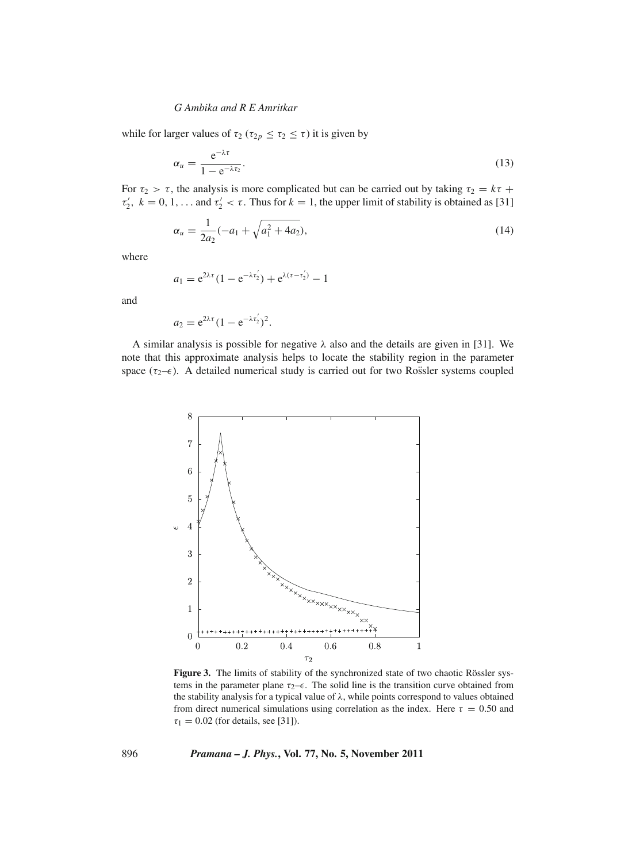while for larger values of  $\tau_2$  ( $\tau_{2p} \leq \tau_2 \leq \tau$ ) it is given by

$$
\alpha_u = \frac{e^{-\lambda \tau}}{1 - e^{-\lambda \tau_2}}.\tag{13}
$$

For  $\tau_2 > \tau$ , the analysis is more complicated but can be carried out by taking  $\tau_2 = k\tau +$  $\tau'_2$ ,  $k = 0, 1, \ldots$  and  $\tau'_2 < \tau$ . Thus for  $k = 1$ , the upper limit of stability is obtained as [31]

$$
\alpha_u = \frac{1}{2a_2}(-a_1 + \sqrt{a_1^2 + 4a_2}),\tag{14}
$$

where

$$
a_1 = e^{2\lambda \tau} (1 - e^{-\lambda \tau'_2}) + e^{\lambda (\tau - \tau'_2)} - 1
$$

and

$$
a_2 = e^{2\lambda \tau} (1 - e^{-\lambda \tau'_2})^2.
$$

A similar analysis is possible for negative  $\lambda$  also and the details are given in [31]. We note that this approximate analysis helps to locate the stability region in the parameter space ( $\tau_2$ – $\epsilon$ ). A detailed numerical study is carried out for two Rossler systems coupled



**Figure 3.** The limits of stability of the synchronized state of two chaotic Rössler systems in the parameter plane  $\tau_2-\epsilon$ . The solid line is the transition curve obtained from the stability analysis for a typical value of  $\lambda$ , while points correspond to values obtained from direct numerical simulations using correlation as the index. Here  $\tau = 0.50$  and  $\tau_1 = 0.02$  (for details, see [31]).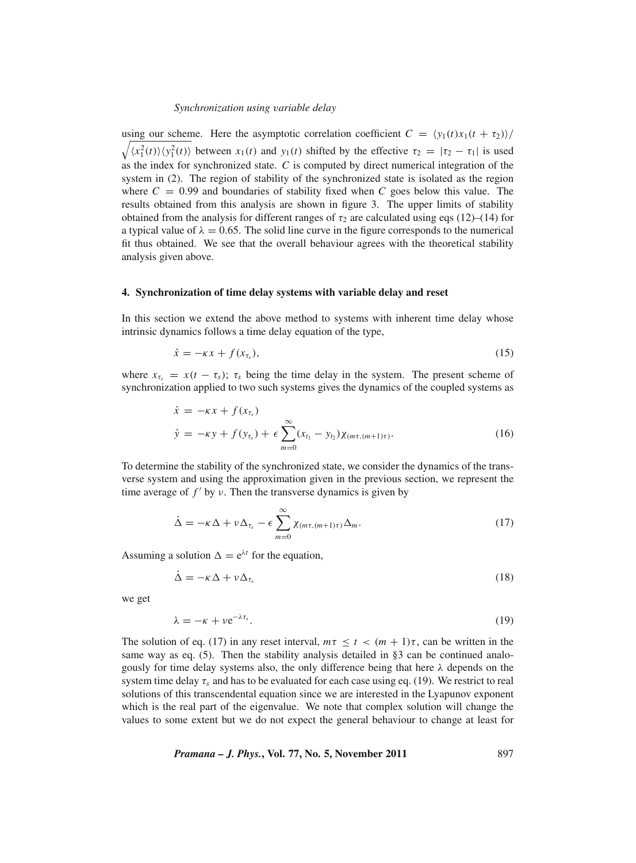using our scheme. Here the asymptotic correlation coefficient  $C = \langle y_1(t)x_1(t + \tau_2) \rangle$  $\sqrt{\langle x_1^2(t)\rangle \langle y_1^2(t)\rangle}$  between  $x_1(t)$  and  $y_1(t)$  shifted by the effective  $\tau_2 = |\tau_2 - \tau_1|$  is used as the index for synchronized state. *C* is computed by direct numerical integration of the system in (2). The region of stability of the synchronized state is isolated as the region where  $C = 0.99$  and boundaries of stability fixed when  $C$  goes below this value. The results obtained from this analysis are shown in figure 3. The upper limits of stability obtained from the analysis for different ranges of  $\tau_2$  are calculated using eqs (12)–(14) for a typical value of  $\lambda = 0.65$ . The solid line curve in the figure corresponds to the numerical fit thus obtained. We see that the overall behaviour agrees with the theoretical stability analysis given above.

#### **4. Synchronization of time delay systems with variable delay and reset**

In this section we extend the above method to systems with inherent time delay whose intrinsic dynamics follows a time delay equation of the type,

$$
\dot{x} = -\kappa x + f(x_{\tau_s}),\tag{15}
$$

where  $x_{\tau_s} = x(t - \tau_s)$ ;  $\tau_s$  being the time delay in the system. The present scheme of synchronization applied to two such systems gives the dynamics of the coupled systems as

$$
\dot{x} = -\kappa x + f(x_{\tau_s})
$$
\n
$$
\dot{y} = -\kappa y + f(y_{\tau_s}) + \epsilon \sum_{m=0}^{\infty} (x_{t_1} - y_{t_2}) \chi_{(m\tau, (m+1)\tau)}.
$$
\n(16)

To determine the stability of the synchronized state, we consider the dynamics of the transverse system and using the approximation given in the previous section, we represent the time average of  $f'$  by  $\nu$ . Then the transverse dynamics is given by

$$
\dot{\Delta} = -\kappa \Delta + \nu \Delta_{\tau_s} - \epsilon \sum_{m=0}^{\infty} \chi_{(m\tau, (m+1)\tau)} \Delta_m.
$$
\n(17)

Assuming a solution  $\Delta = e^{\lambda t}$  for the equation,

$$
\dot{\Delta} = -\kappa \Delta + \nu \Delta_{\tau_s} \tag{18}
$$

we get

$$
\lambda = -\kappa + \nu e^{-\lambda \tau_s}.\tag{19}
$$

The solution of eq. (17) in any reset interval,  $m\tau \le t < (m + 1)\tau$ , can be written in the same way as eq. (5). Then the stability analysis detailed in §3 can be continued analogously for time delay systems also, the only difference being that here  $\lambda$  depends on the system time delay  $\tau_s$  and has to be evaluated for each case using eq. (19). We restrict to real solutions of this transcendental equation since we are interested in the Lyapunov exponent which is the real part of the eigenvalue. We note that complex solution will change the values to some extent but we do not expect the general behaviour to change at least for

*Pramana – J. Phys.***, Vol. 77, No. 5, November 2011** 897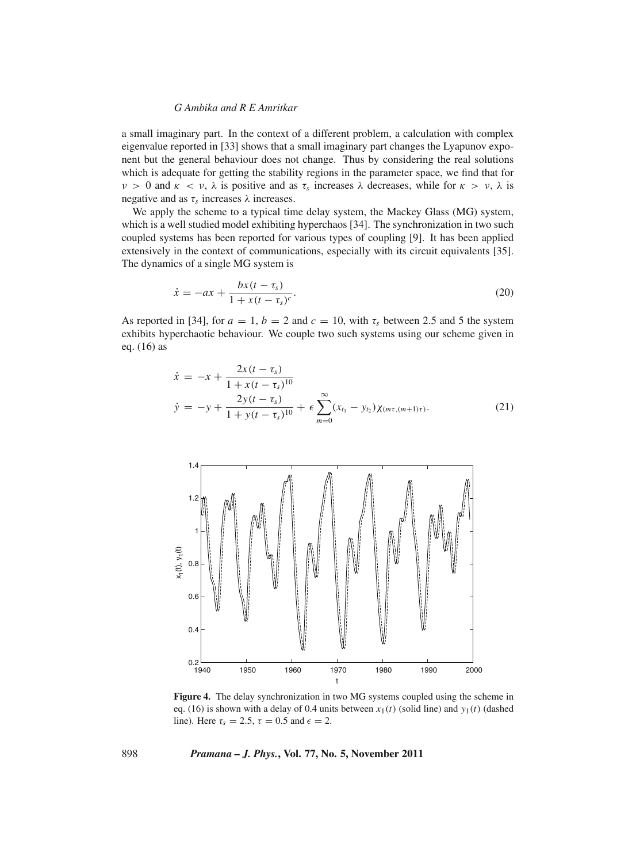a small imaginary part. In the context of a different problem, a calculation with complex eigenvalue reported in [33] shows that a small imaginary part changes the Lyapunov exponent but the general behaviour does not change. Thus by considering the real solutions which is adequate for getting the stability regions in the parameter space, we find that for  $v > 0$  and  $\kappa < v$ ,  $\lambda$  is positive and as  $\tau_s$  increases  $\lambda$  decreases, while for  $\kappa > v$ ,  $\lambda$  is negative and as  $\tau_s$  increases.

We apply the scheme to a typical time delay system, the Mackey Glass (MG) system, which is a well studied model exhibiting hyperchaos [34]. The synchronization in two such coupled systems has been reported for various types of coupling [9]. It has been applied extensively in the context of communications, especially with its circuit equivalents [35]. The dynamics of a single MG system is

$$
\dot{x} = -ax + \frac{bx(t - \tau_s)}{1 + x(t - \tau_s)^c}.
$$
\n(20)

As reported in [34], for  $a = 1$ ,  $b = 2$  and  $c = 10$ , with  $\tau_s$  between 2.5 and 5 the system exhibits hyperchaotic behaviour. We couple two such systems using our scheme given in eq. (16) as

$$
\dot{x} = -x + \frac{2x(t - \tau_s)}{1 + x(t - \tau_s)^{10}} \n\dot{y} = -y + \frac{2y(t - \tau_s)}{1 + y(t - \tau_s)^{10}} + \epsilon \sum_{m=0}^{\infty} (x_{t_1} - y_{t_2}) \chi_{(m\tau, (m+1)\tau)}.
$$
\n(21)



**Figure 4.** The delay synchronization in two MG systems coupled using the scheme in eq. (16) is shown with a delay of 0.4 units between  $x_1(t)$  (solid line) and  $y_1(t)$  (dashed line). Here  $\tau_s = 2.5$ ,  $\tau = 0.5$  and  $\epsilon = 2$ .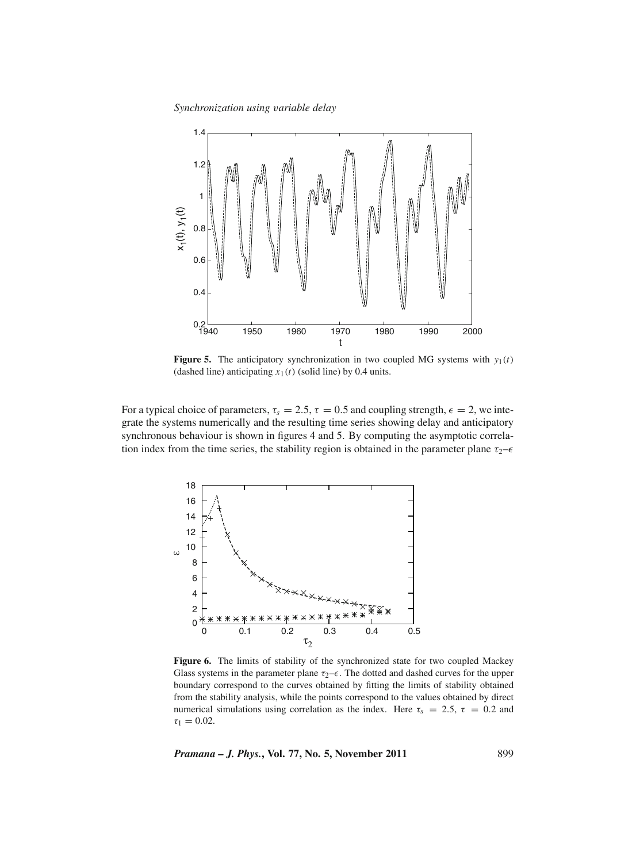*Synchronization using* v*ariable delay*



**Figure 5.** The anticipatory synchronization in two coupled MG systems with  $y_1(t)$ (dashed line) anticipating  $x_1(t)$  (solid line) by 0.4 units.

For a typical choice of parameters,  $\tau_s = 2.5$ ,  $\tau = 0.5$  and coupling strength,  $\epsilon = 2$ , we integrate the systems numerically and the resulting time series showing delay and anticipatory synchronous behaviour is shown in figures 4 and 5. By computing the asymptotic correlation index from the time series, the stability region is obtained in the parameter plane  $\tau_2$ – $\epsilon$ 



**Figure 6.** The limits of stability of the synchronized state for two coupled Mackey Glass systems in the parameter plane  $\tau_2$ – $\epsilon$ . The dotted and dashed curves for the upper boundary correspond to the curves obtained by fitting the limits of stability obtained from the stability analysis, while the points correspond to the values obtained by direct numerical simulations using correlation as the index. Here  $\tau_s = 2.5$ ,  $\tau = 0.2$  and  $\tau_1 = 0.02$ .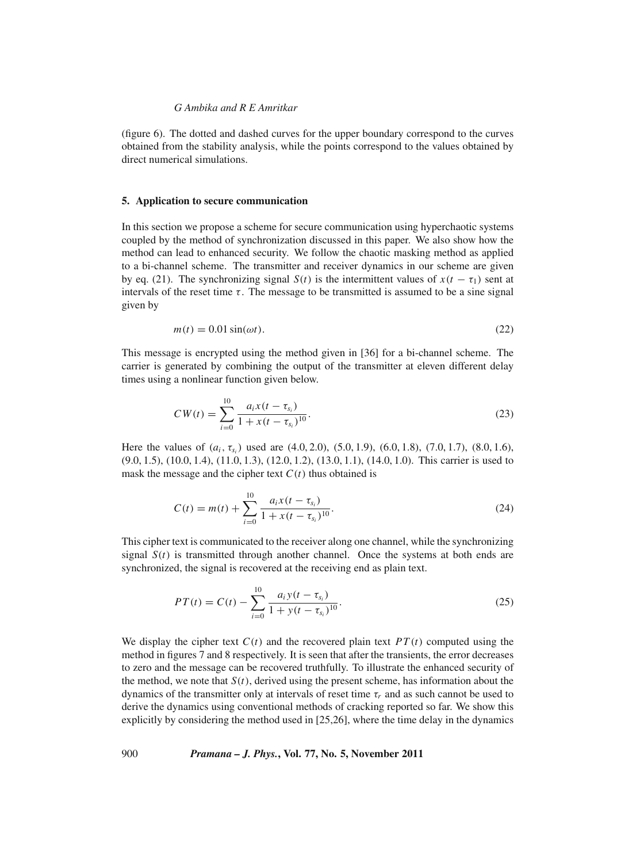(figure 6). The dotted and dashed curves for the upper boundary correspond to the curves obtained from the stability analysis, while the points correspond to the values obtained by direct numerical simulations.

#### **5. Application to secure communication**

In this section we propose a scheme for secure communication using hyperchaotic systems coupled by the method of synchronization discussed in this paper. We also show how the method can lead to enhanced security. We follow the chaotic masking method as applied to a bi-channel scheme. The transmitter and receiver dynamics in our scheme are given by eq. (21). The synchronizing signal *S*(*t*) is the intermittent values of  $x(t - \tau_1)$  sent at intervals of the reset time  $\tau$ . The message to be transmitted is assumed to be a sine signal given by

$$
m(t) = 0.01 \sin(\omega t). \tag{22}
$$

This message is encrypted using the method given in [36] for a bi-channel scheme. The carrier is generated by combining the output of the transmitter at eleven different delay times using a nonlinear function given below.

$$
CW(t) = \sum_{i=0}^{10} \frac{a_i x(t - \tau_{s_i})}{1 + x(t - \tau_{s_i})^{10}}.
$$
\n(23)

Here the values of (*a<sub>i</sub>*, τ<sub>*s<sub>i</sub>*</sub>) used are (4.0, 2.0), (5.0, 1.9), (6.0, 1.8), (7.0, 1.7), (8.0, 1.6), (9.0, 1.5), (10.0, 1.4), (11.0, 1.3), (12.0, 1.2), (13.0, 1.1), (14.0, 1.0). This carrier is used to mask the message and the cipher text  $C(t)$  thus obtained is

$$
C(t) = m(t) + \sum_{i=0}^{10} \frac{a_i x(t - \tau_{s_i})}{1 + x(t - \tau_{s_i})^{10}}.
$$
\n(24)

This cipher text is communicated to the receiver along one channel, while the synchronizing signal  $S(t)$  is transmitted through another channel. Once the systems at both ends are synchronized, the signal is recovered at the receiving end as plain text.

$$
PT(t) = C(t) - \sum_{i=0}^{10} \frac{a_i y(t - \tau_{s_i})}{1 + y(t - \tau_{s_i})^{10}}.
$$
\n(25)

We display the cipher text  $C(t)$  and the recovered plain text  $PT(t)$  computed using the method in figures 7 and 8 respectively. It is seen that after the transients, the error decreases to zero and the message can be recovered truthfully. To illustrate the enhanced security of the method, we note that  $S(t)$ , derived using the present scheme, has information about the dynamics of the transmitter only at intervals of reset time  $\tau_r$  and as such cannot be used to derive the dynamics using conventional methods of cracking reported so far. We show this explicitly by considering the method used in [25,26], where the time delay in the dynamics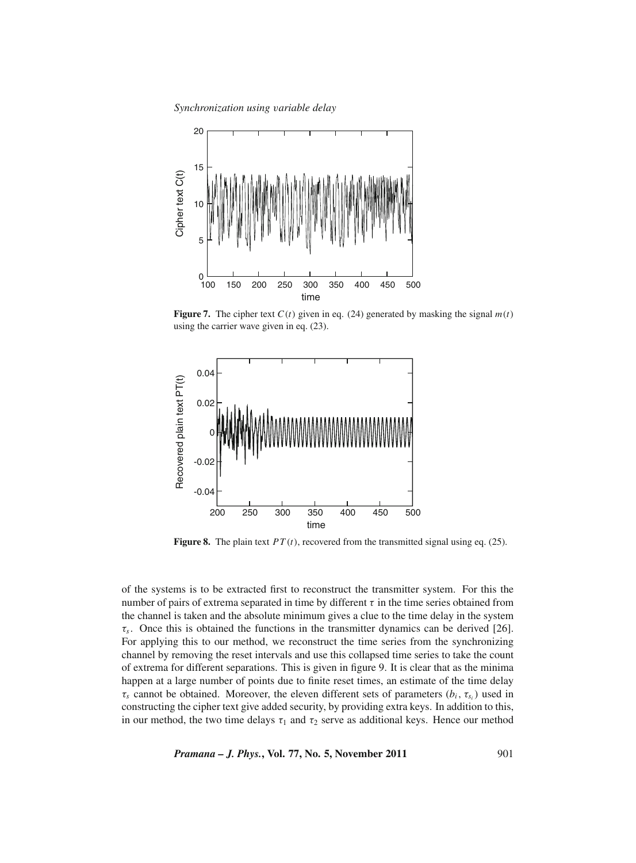

**Figure 7.** The cipher text  $C(t)$  given in eq. (24) generated by masking the signal  $m(t)$ using the carrier wave given in eq. (23).



**Figure 8.** The plain text *PT* (*t*), recovered from the transmitted signal using eq. (25).

of the systems is to be extracted first to reconstruct the transmitter system. For this the number of pairs of extrema separated in time by different  $\tau$  in the time series obtained from the channel is taken and the absolute minimum gives a clue to the time delay in the system  $\tau_s$ . Once this is obtained the functions in the transmitter dynamics can be derived [26]. For applying this to our method, we reconstruct the time series from the synchronizing channel by removing the reset intervals and use this collapsed time series to take the count of extrema for different separations. This is given in figure 9. It is clear that as the minima happen at a large number of points due to finite reset times, an estimate of the time delay  $\tau_s$  cannot be obtained. Moreover, the eleven different sets of parameters  $(b_i, \tau_{s_i})$  used in constructing the cipher text give added security, by providing extra keys. In addition to this, in our method, the two time delays  $\tau_1$  and  $\tau_2$  serve as additional keys. Hence our method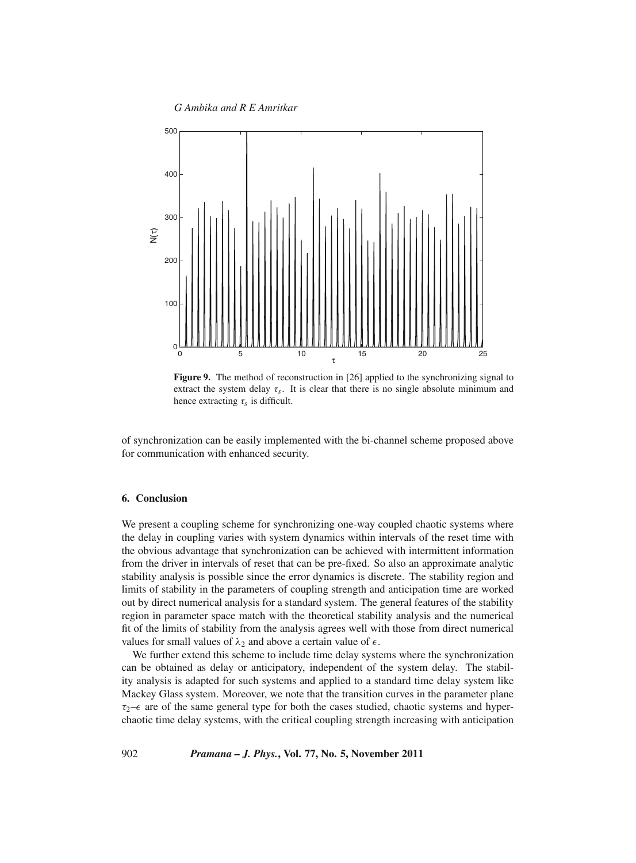*G Ambika and R E Amritkar*





of synchronization can be easily implemented with the bi-channel scheme proposed above for communication with enhanced security.

## **6. Conclusion**

We present a coupling scheme for synchronizing one-way coupled chaotic systems where the delay in coupling varies with system dynamics within intervals of the reset time with the obvious advantage that synchronization can be achieved with intermittent information from the driver in intervals of reset that can be pre-fixed. So also an approximate analytic stability analysis is possible since the error dynamics is discrete. The stability region and limits of stability in the parameters of coupling strength and anticipation time are worked out by direct numerical analysis for a standard system. The general features of the stability region in parameter space match with the theoretical stability analysis and the numerical fit of the limits of stability from the analysis agrees well with those from direct numerical values for small values of  $\lambda_2$  and above a certain value of  $\epsilon$ .

We further extend this scheme to include time delay systems where the synchronization can be obtained as delay or anticipatory, independent of the system delay. The stability analysis is adapted for such systems and applied to a standard time delay system like Mackey Glass system. Moreover, we note that the transition curves in the parameter plane  $\tau_2$ – $\epsilon$  are of the same general type for both the cases studied, chaotic systems and hyperchaotic time delay systems, with the critical coupling strength increasing with anticipation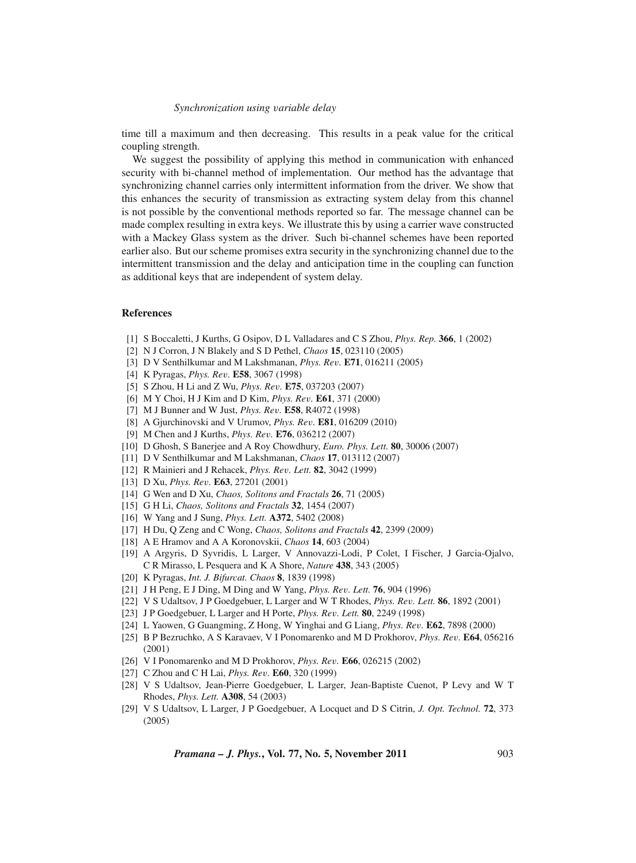time till a maximum and then decreasing. This results in a peak value for the critical coupling strength.

We suggest the possibility of applying this method in communication with enhanced security with bi-channel method of implementation. Our method has the advantage that synchronizing channel carries only intermittent information from the driver. We show that this enhances the security of transmission as extracting system delay from this channel is not possible by the conventional methods reported so far. The message channel can be made complex resulting in extra keys. We illustrate this by using a carrier wave constructed with a Mackey Glass system as the driver. Such bi-channel schemes have been reported earlier also. But our scheme promises extra security in the synchronizing channel due to the intermittent transmission and the delay and anticipation time in the coupling can function as additional keys that are independent of system delay.

#### **References**

- [1] S Boccaletti, J Kurths, G Osipov, D L Valladares and C S Zhou, *Phys. Rep.* **366**, 1 (2002)
- [2] N J Corron, J N Blakely and S D Pethel, *Chaos* **15**, 023110 (2005)
- [3] D V Senthilkumar and M Lakshmanan, *Phys. Re*v*.* **E71**, 016211 (2005)
- [4] K Pyragas, *Phys. Re*v*.* **E58**, 3067 (1998)
- [5] S Zhou, H Li and Z Wu, *Phys. Re*v*.* **E75**, 037203 (2007)
- [6] M Y Choi, H J Kim and D Kim, *Phys. Re*v*.* **E61**, 371 (2000)
- [7] M J Bunner and W Just, *Phys. Re*v*.* **E58**, R4072 (1998)
- [8] A Gjurchinovski and V Urumov, *Phys. Re*v*.* **E81**, 016209 (2010)
- [9] M Chen and J Kurths, *Phys. Re*v*.* **E76**, 036212 (2007)
- [10] D Ghosh, S Banerjee and A Roy Chowdhury, *Euro. Phys. Lett.* **80**, 30006 (2007)
- [11] D V Senthilkumar and M Lakshmanan, *Chaos* **17**, 013112 (2007)
- [12] R Mainieri and J Rehacek, *Phys. Re*v*. Lett.* **82**, 3042 (1999)
- [13] D Xu, *Phys. Re*v*.* **E63**, 27201 (2001)
- [14] G Wen and D Xu, *Chaos, Solitons and Fractals* **26**, 71 (2005)
- [15] G H Li, *Chaos, Solitons and Fractals* **32**, 1454 (2007)
- [16] W Yang and J Sung, *Phys. Lett.* **A372**, 5402 (2008)
- [17] H Du, Q Zeng and C Wong, *Chaos, Solitons and Fractals* **42**, 2399 (2009)
- [18] A E Hramov and A A Koronovskii, *Chaos* **14**, 603 (2004)
- [19] A Argyris, D Syvridis, L Larger, V Annovazzi-Lodi, P Colet, I Fischer, J Garcia-Ojalvo, C R Mirasso, L Pesquera and K A Shore, *Nature* **438**, 343 (2005)
- [20] K Pyragas, *Int. J. Bifurcat. Chaos* **8**, 1839 (1998)
- [21] J H Peng, E J Ding, M Ding and W Yang, *Phys. Re*v*. Lett.* **76**, 904 (1996)
- [22] V S Udaltsov, J P Goedgebuer, L Larger and W T Rhodes, *Phys. Re*v*. Lett.* **86**, 1892 (2001)
- [23] J P Goedgebuer, L Larger and H Porte, *Phys. Re*v*. Lett.* **80**, 2249 (1998)
- [24] L Yaowen, G Guangming, Z Hong, W Yinghai and G Liang, *Phys. Re*v*.* **E62**, 7898 (2000)
- [25] B P Bezruchko, A S Karavaev, V I Ponomarenko and M D Prokhorov, *Phys. Re*v*.* **E64**, 056216 (2001)
- [26] V I Ponomarenko and M D Prokhorov, *Phys. Re*v*.* **E66**, 026215 (2002)
- [27] C Zhou and C H Lai, *Phys. Re*v*.* **E60**, 320 (1999)
- [28] V S Udaltsov, Jean-Pierre Goedgebuer, L Larger, Jean-Baptiste Cuenot, P Levy and W T Rhodes, *Phys. Lett.* **A308**, 54 (2003)
- [29] V S Udaltsov, L Larger, J P Goedgebuer, A Locquet and D S Citrin, *J. Opt. Technol.* **72**, 373 (2005)